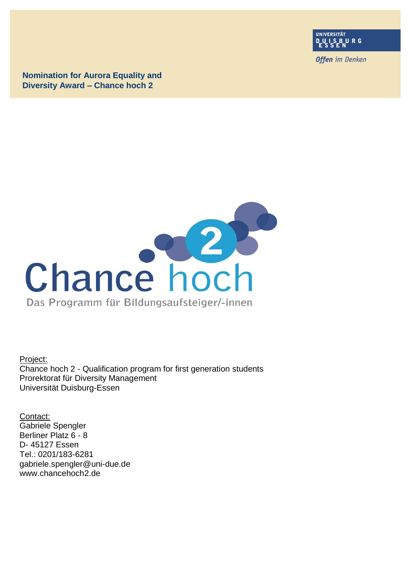

**Offen** im Denken

**Nomination for Aurora Equality and Diversity Award – Chance hoch 2**



Project: Chance hoch 2 - Qualification program for first generation students Prorektorat für Diversity Management Universität Duisburg-Essen

Contact: Gabriele Spengler Berliner Platz 6 - 8 D- 45127 Essen Tel.: 0201/183-6281 gabriele.spengler@uni-due.de www.chancehoch2.de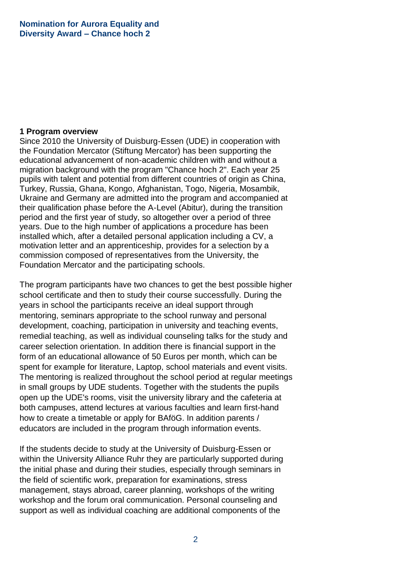#### **1 Program overview**

Since 2010 the University of Duisburg-Essen (UDE) in cooperation with the Foundation Mercator (Stiftung Mercator) has been supporting the educational advancement of non-academic children with and without a migration background with the program "Chance hoch 2". Each year 25 pupils with talent and potential from different countries of origin as China, Turkey, Russia, Ghana, Kongo, Afghanistan, Togo, Nigeria, Mosambik, Ukraine and Germany are admitted into the program and accompanied at their qualification phase before the A-Level (Abitur), during the transition period and the first year of study, so altogether over a period of three years. Due to the high number of applications a procedure has been installed which, after a detailed personal application including a CV, a motivation letter and an apprenticeship, provides for a selection by a commission composed of representatives from the University, the Foundation Mercator and the participating schools.

The program participants have two chances to get the best possible higher school certificate and then to study their course successfully. During the years in school the participants receive an ideal support through mentoring, seminars appropriate to the school runway and personal development, coaching, participation in university and teaching events, remedial teaching, as well as individual counseling talks for the study and career selection orientation. In addition there is financial support in the form of an educational allowance of 50 Euros per month, which can be spent for example for literature, Laptop, school materials and event visits. The mentoring is realized throughout the school period at regular meetings in small groups by UDE students. Together with the students the pupils open up the UDE's rooms, visit the university library and the cafeteria at both campuses, attend lectures at various faculties and learn first-hand how to create a timetable or apply for BAföG. In addition parents / educators are included in the program through information events.

If the students decide to study at the University of Duisburg-Essen or within the University Alliance Ruhr they are particularly supported during the initial phase and during their studies, especially through seminars in the field of scientific work, preparation for examinations, stress management, stays abroad, career planning, workshops of the writing workshop and the forum oral communication. Personal counseling and support as well as individual coaching are additional components of the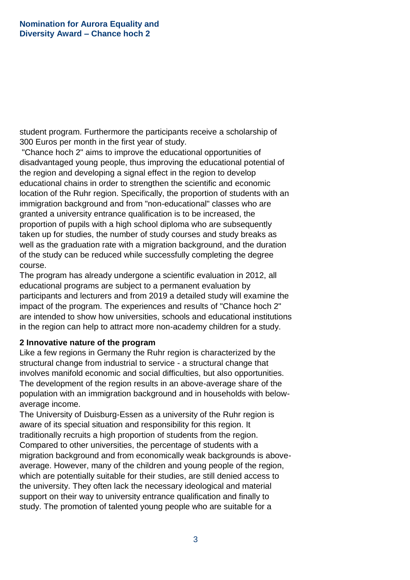student program. Furthermore the participants receive a scholarship of 300 Euros per month in the first year of study.

"Chance hoch 2" aims to improve the educational opportunities of disadvantaged young people, thus improving the educational potential of the region and developing a signal effect in the region to develop educational chains in order to strengthen the scientific and economic location of the Ruhr region. Specifically, the proportion of students with an immigration background and from "non-educational" classes who are granted a university entrance qualification is to be increased, the proportion of pupils with a high school diploma who are subsequently taken up for studies, the number of study courses and study breaks as well as the graduation rate with a migration background, and the duration of the study can be reduced while successfully completing the degree course.

The program has already undergone a scientific evaluation in 2012, all educational programs are subject to a permanent evaluation by participants and lecturers and from 2019 a detailed study will examine the impact of the program. The experiences and results of "Chance hoch 2" are intended to show how universities, schools and educational institutions in the region can help to attract more non-academy children for a study.

### **2 Innovative nature of the program**

Like a few regions in Germany the Ruhr region is characterized by the structural change from industrial to service - a structural change that involves manifold economic and social difficulties, but also opportunities. The development of the region results in an above-average share of the population with an immigration background and in households with belowaverage income.

The University of Duisburg-Essen as a university of the Ruhr region is aware of its special situation and responsibility for this region. It traditionally recruits a high proportion of students from the region. Compared to other universities, the percentage of students with a migration background and from economically weak backgrounds is aboveaverage. However, many of the children and young people of the region, which are potentially suitable for their studies, are still denied access to the university. They often lack the necessary ideological and material support on their way to university entrance qualification and finally to study. The promotion of talented young people who are suitable for a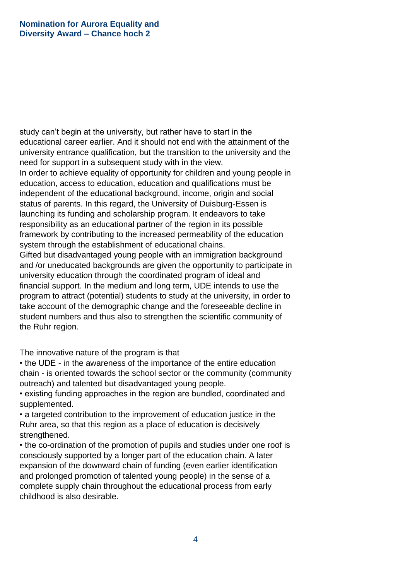study can't begin at the university, but rather have to start in the educational career earlier. And it should not end with the attainment of the university entrance qualification, but the transition to the university and the need for support in a subsequent study with in the view.

In order to achieve equality of opportunity for children and young people in education, access to education, education and qualifications must be independent of the educational background, income, origin and social status of parents. In this regard, the University of Duisburg-Essen is launching its funding and scholarship program. It endeavors to take responsibility as an educational partner of the region in its possible framework by contributing to the increased permeability of the education system through the establishment of educational chains.

Gifted but disadvantaged young people with an immigration background and /or uneducated backgrounds are given the opportunity to participate in university education through the coordinated program of ideal and financial support. In the medium and long term, UDE intends to use the program to attract (potential) students to study at the university, in order to take account of the demographic change and the foreseeable decline in student numbers and thus also to strengthen the scientific community of the Ruhr region.

The innovative nature of the program is that

• the UDE - in the awareness of the importance of the entire education chain - is oriented towards the school sector or the community (community outreach) and talented but disadvantaged young people.

• existing funding approaches in the region are bundled, coordinated and supplemented.

• a targeted contribution to the improvement of education justice in the Ruhr area, so that this region as a place of education is decisively strengthened.

• the co-ordination of the promotion of pupils and studies under one roof is consciously supported by a longer part of the education chain. A later expansion of the downward chain of funding (even earlier identification and prolonged promotion of talented young people) in the sense of a complete supply chain throughout the educational process from early childhood is also desirable.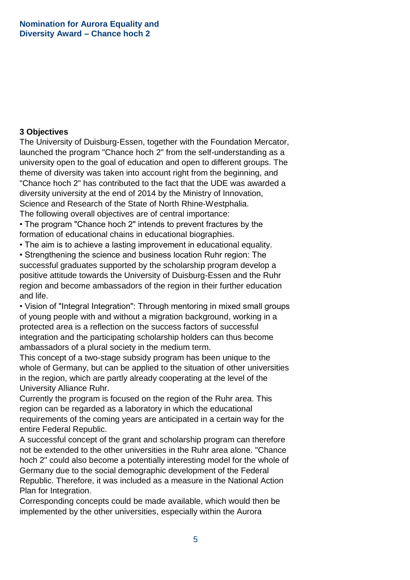# **3 Objectives**

The University of Duisburg-Essen, together with the Foundation Mercator, launched the program "Chance hoch 2" from the self-understanding as a university open to the goal of education and open to different groups. The theme of diversity was taken into account right from the beginning, and "Chance hoch 2" has contributed to the fact that the UDE was awarded a diversity university at the end of 2014 by the Ministry of Innovation, Science and Research of the State of North Rhine-Westphalia. The following overall objectives are of central importance:

• The program "Chance hoch 2" intends to prevent fractures by the formation of educational chains in educational biographies.

• The aim is to achieve a lasting improvement in educational equality.

• Strengthening the science and business location Ruhr region: The successful graduates supported by the scholarship program develop a positive attitude towards the University of Duisburg-Essen and the Ruhr region and become ambassadors of the region in their further education and life.

• Vision of "Integral Integration": Through mentoring in mixed small groups of young people with and without a migration background, working in a protected area is a reflection on the success factors of successful integration and the participating scholarship holders can thus become ambassadors of a plural society in the medium term.

This concept of a two-stage subsidy program has been unique to the whole of Germany, but can be applied to the situation of other universities in the region, which are partly already cooperating at the level of the University Alliance Ruhr.

Currently the program is focused on the region of the Ruhr area. This region can be regarded as a laboratory in which the educational requirements of the coming years are anticipated in a certain way for the entire Federal Republic.

A successful concept of the grant and scholarship program can therefore not be extended to the other universities in the Ruhr area alone. "Chance hoch 2" could also become a potentially interesting model for the whole of Germany due to the social demographic development of the Federal Republic. Therefore, it was included as a measure in the National Action Plan for Integration.

Corresponding concepts could be made available, which would then be implemented by the other universities, especially within the Aurora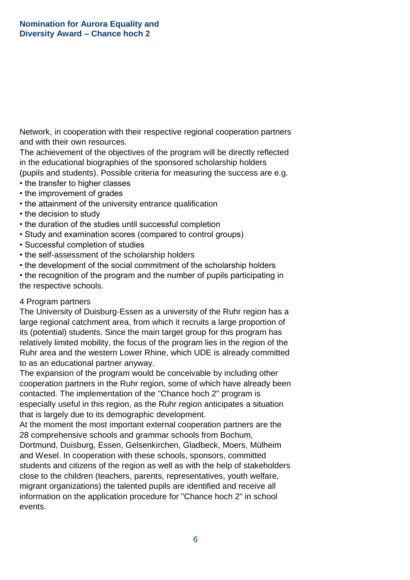Network, in cooperation with their respective regional cooperation partners and with their own resources.

The achievement of the objectives of the program will be directly reflected in the educational biographies of the sponsored scholarship holders (pupils and students). Possible criteria for measuring the success are e.g.

- the transfer to higher classes
- the improvement of grades
- the attainment of the university entrance qualification
- the decision to study
- the duration of the studies until successful completion
- Study and examination scores (compared to control groups)
- Successful completion of studies
- the self-assessment of the scholarship holders
- the development of the social commitment of the scholarship holders
- the recognition of the program and the number of pupils participating in the respective schools.

### 4 Program partners

The University of Duisburg-Essen as a university of the Ruhr region has a large regional catchment area, from which it recruits a large proportion of its (potential) students. Since the main target group for this program has relatively limited mobility, the focus of the program lies in the region of the Ruhr area and the western Lower Rhine, which UDE is already committed to as an educational partner anyway.

The expansion of the program would be conceivable by including other cooperation partners in the Ruhr region, some of which have already been contacted. The implementation of the "Chance hoch 2" program is especially useful in this region, as the Ruhr region anticipates a situation that is largely due to its demographic development.

At the moment the most important external cooperation partners are the 28 comprehensive schools and grammar schools from Bochum,

Dortmund, Duisburg, Essen, Gelsenkirchen, Gladbeck, Moers, Mülheim and Wesel. In cooperation with these schools, sponsors, committed students and citizens of the region as well as with the help of stakeholders close to the children (teachers, parents, representatives, youth welfare, migrant organizations) the talented pupils are identified and receive all information on the application procedure for "Chance hoch 2" in school events.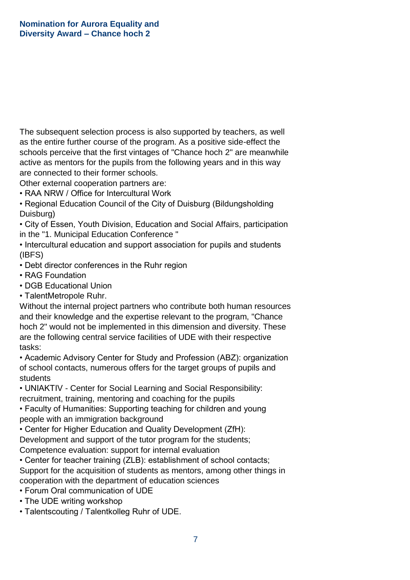The subsequent selection process is also supported by teachers, as well as the entire further course of the program. As a positive side-effect the schools perceive that the first vintages of "Chance hoch 2" are meanwhile active as mentors for the pupils from the following years and in this way are connected to their former schools.

Other external cooperation partners are:

• RAA NRW / Office for Intercultural Work

• Regional Education Council of the City of Duisburg (Bildungsholding Duisburg)

• City of Essen, Youth Division, Education and Social Affairs, participation in the "1. Municipal Education Conference "

• Intercultural education and support association for pupils and students (IBFS)

- Debt director conferences in the Ruhr region
- RAG Foundation
- DGB Educational Union
- TalentMetropole Ruhr.

Without the internal project partners who contribute both human resources and their knowledge and the expertise relevant to the program, "Chance hoch 2" would not be implemented in this dimension and diversity. These are the following central service facilities of UDE with their respective tasks:

• Academic Advisory Center for Study and Profession (ABZ): organization of school contacts, numerous offers for the target groups of pupils and students

• UNIAKTIV - Center for Social Learning and Social Responsibility: recruitment, training, mentoring and coaching for the pupils

• Faculty of Humanities: Supporting teaching for children and young people with an immigration background

• Center for Higher Education and Quality Development (ZfH):

Development and support of the tutor program for the students;

Competence evaluation: support for internal evaluation

• Center for teacher training (ZLB): establishment of school contacts; Support for the acquisition of students as mentors, among other things in cooperation with the department of education sciences

• Forum Oral communication of UDE

• The UDE writing workshop

• Talentscouting / Talentkolleg Ruhr of UDE.